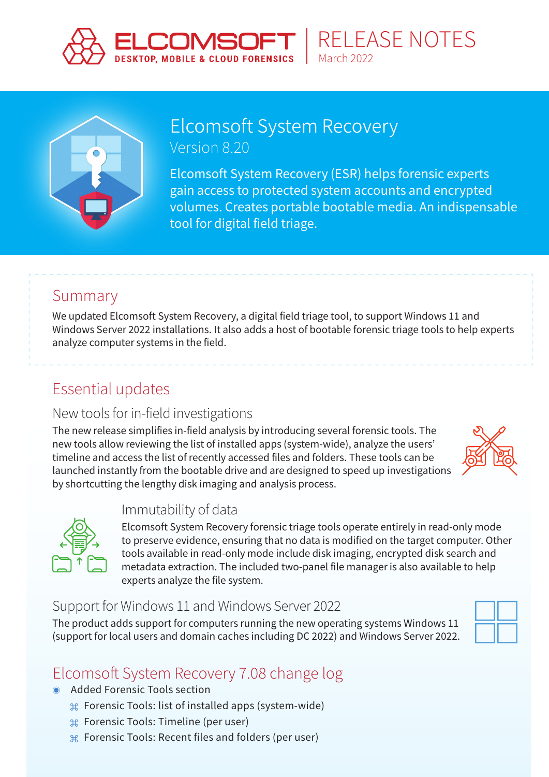



## [Elcomsoft System Recovery](https://www.elcomsoft.com/esr.html) Version 8.20

Elcomsoft System Recovery (ESR) helps forensic experts gain access to protected system accounts and encrypted volumes. Creates portable bootable media. An indispensable tool for digital field triage.

March 2022

RELEASE NOTES

## Summary

We updated Elcomsoft System Recovery, a digital field triage tool, to support Windows 11 and Windows Server 2022 installations. It also adds a host of bootable forensic triage tools to help experts analyze computer systems in the field.

# Essential updates

### New tools for in-field investigations

The new release simplifies in-field analysis by introducing several forensic tools. The new tools allow reviewing the list of installed apps (system-wide), analyze the users' timeline and access the list of recently accessed files and folders. These tools can be launched instantly from the bootable drive and are designed to speed up investigations by shortcutting the lengthy disk imaging and analysis process.





### Immutability of data

Elcomsoft System Recovery forensic triage tools operate entirely in read-only mode to preserve evidence, ensuring that no data is modified on the target computer. Other tools available in read-only mode include disk imaging, encrypted disk search and metadata extraction. The included two-panel file manager is also available to help experts analyze the file system.

### Support for Windows 11 and Windows Server 2022

The product adds support for computers running the new operating systems Windows 11 (support for local users and domain caches including DC 2022) and Windows Server 2022.



# Elcomsoft System Recovery 7.08 change log

- Added Forensic Tools section
	- ⌘ Forensic Tools: list of installed apps (system-wide)
	- ⌘ Forensic Tools: Timeline (per user)
	- ⌘ Forensic Tools: Recent files and folders (per user)